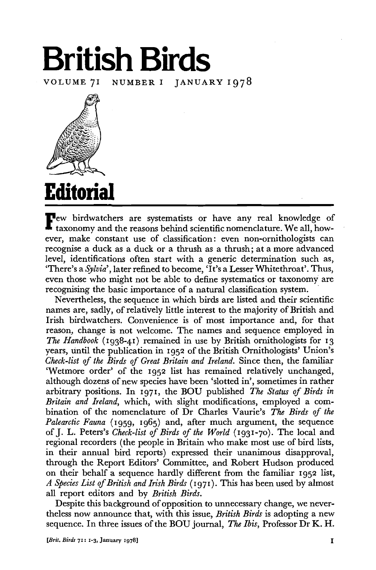## **British Birds**

VOLUME 7I NUMBER I JANUARY 1978



## **Editorial**

The birdwatchers are systematists or have any real knowledge of taxonomy and the reasons behind scientific nomenclature. We all, how- $\blacksquare$  taxonomy and the reasons behind scientific nomenclature. We all, however, make constant use of classification: even non-ornithologists can recognise a duck as a duck or a thrush as a thrush; at a more advanced level, identifications often start with a generic determination such as, 'There's a *Sylvia',* later refined to become, 'It's a Lesser Whitethroat'. Thus, even those who might not be able to define systematics or taxonomy are recognising the basic importance of a natural classification system.

Nevertheless, the sequence in which birds are listed and their scientific names are, sadly, of relatively little interest to the majority of British and Irish birdwatchers. Convenience is of most importance and, for that reason, change is not welcome. The names and sequence employed in *The Handbook* (1938-41) remained in use by British ornithologists for 13 years, until the publication in 1952 of the British Ornithologists' Union's *Check-list of the Birds of Great Britain and Ireland.* Since then, the familiar 'Wetmore order' of the 1952 list has remained relatively unchanged, although dozens of new species have been 'slotted in', sometimes in rather arbitrary positions. In 1971, the BOU published *The Status of Birds in Britain and Ireland,* which, with slight modifications, employed a combination of the nomenclature of Dr Charles Vaurie's *The Birds of the Palearctic Fauna* (1959, 1965) and, after much argument, the sequence of J. L. Peters's *Check-list of Birds of the World* (1931-70). The local and regional recorders (the people in Britain who make most use of bird lists, in their annual bird reports) expressed their unanimous disapproval, through the Report Editors' Committee, and Robert Hudson produced on their behalf a sequence hardly different from the familiar 1952 list, *A Species List of British and Irish Birds* (1971). This has been used by almost all report editors and by *British Birds.* 

Despite this background of opposition to unnecessary change, we nevertheless now announce that, with this issue, *British Birds* is adopting a new sequence. In three issues of the BOU journal, *The Ibis,* Professor Dr K. H.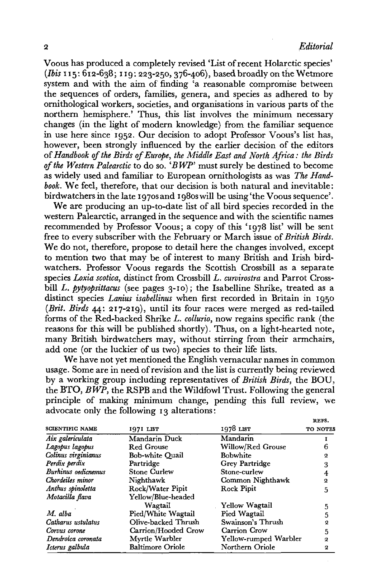Voous has produced a completely revised 'List of recent Holarctic species' *(Ibis* 115:612-638; 119:223-250, 376-406), based broadly on the Wetmore system and with the aim of finding 'a reasonable compromise between the sequences of orders, families, genera, and species as adhered to by ornithological workers, societies, and organisations in various parts of the northern hemisphere,' Thus, this list involves the minimum necessary changes (in the light of modern knowledge) from the familiar sequence in use here since 1952. Our decision to adopt Professor Voous's list has, however, been strongly influenced by the earlier decision of the editors of*Handbook of the Birds of Europe, the Middle East and North Africa: the Birds of the Western Palearctic* to do so. *'BWP'* must surely be destined to become as widely used and familiar to European ornithologists as was *The Handbook.* We feel, therefore, that our decision is both natural and inevitable: birdwatchers in the late 1970s and 1980s will be using'the Voous sequence'.

We are producing an up-to-date list of all bird species recorded in the western Palearctic, arranged in the sequence and with the scientific names recommended by Professor Voous; a copy of this '1978 list' will be sent free to every subscriber with the February or March issue *of British Birds.*  We do not, therefore, propose to detail here the changes involved, except to mention two that may be of interest to many British and Irish birdwatchers. Professor Voous regards the Scottish Crossbill as a separate species *Loxia scotica,* distinct from Crossbill *L. curvirostra* and Parrot Crossbill *L. pytyopsittacus* (see pages 3-10); the Isabelline Shrike, treated as a distinct species *Lanius isabellinus* when first recorded in Britain in 1950 *(Brit. Birds* 44: 217-219), until its four races were merged as red-tailed forms of the Red-backed Shrike *L. collurio,* now regains specific rank (the reasons for this will be published shortly). Thus, on a light-hearted note, many British birdwatchers may, without stirring from their armchairs, add one (or the luckier of us two) species to their life lists.

We have not yet mentioned the English vernacular names in common usage. Some are in need of revision and the list is currently being reviewed by a working group including representatives of *British Birds,* the BOU, the BTO, *BWP,* the RSPB and the Wildfowl Trust. Following the general principle of making minimum change, pending this full review, we advocate only the following 13 alterations:

|                        |                         |                       | REFS.          |
|------------------------|-------------------------|-----------------------|----------------|
| <b>SCIENTIFIC NAME</b> | 1971 LIST               | 1978 LIST             | TO NOTES       |
| Aix galericulata       | Mandarin Duck           | Mandarin              |                |
| Lagopus lagopus        | Red Grouse              | Willow/Red Grouse     | 6              |
| Colinus virginianus    | <b>Bob-white Quail</b>  | <b>Bobwhite</b>       | $\mathbf{2}$   |
| Perdix perdix          | Partridge               | Grey Partridge        | 3              |
| Burhinus oedicnemus    | <b>Stone Curlew</b>     | Stone-curlew          | 4              |
| Chordeiles minor       | Nighthawk               | Common Nighthawk      | $\overline{2}$ |
| Anthus spinoletta      | Rock/Water Pipit        | Rock Pipit            | 5              |
| Motacilla flava        | Yellow/Blue-headed      |                       |                |
|                        | Wagtail                 | Yellow Wagtail        | 5              |
| M. alba                | Pied/White Wagtail      | Pied Wagtail          | 5              |
| Catharus ustulatus     | Olive-backed Thrush     | Swainson's Thrush     | $\mathbf{2}$   |
| Corvus corone          | Carrion/Hooded Crow     | Carrion Crow          | 5              |
| Dendroica coronata     | Myrtle Warbler          | Yellow-rumped Warbler | $\mathbf{2}$   |
| Icterus galbula        | <b>Baltimore Oriole</b> | Northern Oriole       | 2              |